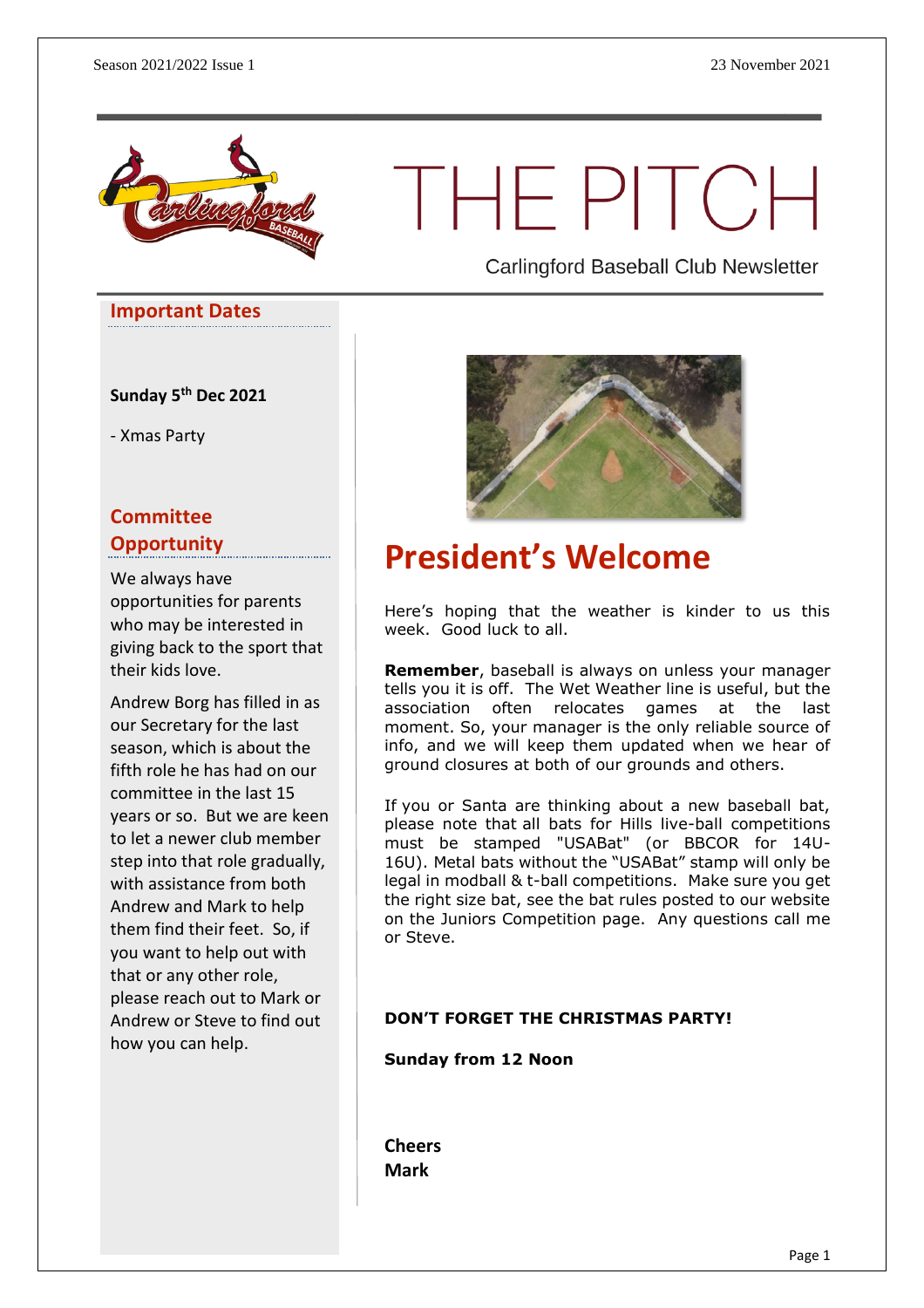

# THE PITCH

**Important Dates**

**Sunday 5 th Dec 2021**

- Xmas Party

#### **Committee Opportunity**

We always have opportunities for parents who may be interested in giving back to the sport that their kids love.

Andrew Borg has filled in as our Secretary for the last season, which is about the fifth role he has had on our committee in the last 15 years or so. But we are keen to let a newer club member step into that role gradually, with assistance from both Andrew and Mark to help them find their feet. So, if you want to help out with that or any other role, please reach out to Mark or Andrew or Steve to find out how you can help.

Carlingford Baseball Club Newsletter



# **President's Welcome**

Here's hoping that the weather is kinder to us this week. Good luck to all.

**Remember**, baseball is always on unless your manager tells you it is off. The Wet Weather line is useful, but the association often relocates games at the last moment. So, your manager is the only reliable source of info, and we will keep them updated when we hear of ground closures at both of our grounds and others.

If you or Santa are thinking about a new baseball bat, please note that all bats for Hills live-ball competitions must be stamped "USABat" (or BBCOR for 14U-16U). Metal bats without the "USABat" stamp will only be legal in modball & t-ball competitions. Make sure you get the right size bat, see the bat rules posted to our website on the Juniors Competition page. Any questions call me or Steve.

#### **DON'T FORGET THE CHRISTMAS PARTY!**

**Sunday from 12 Noon**

**Cheers Mark**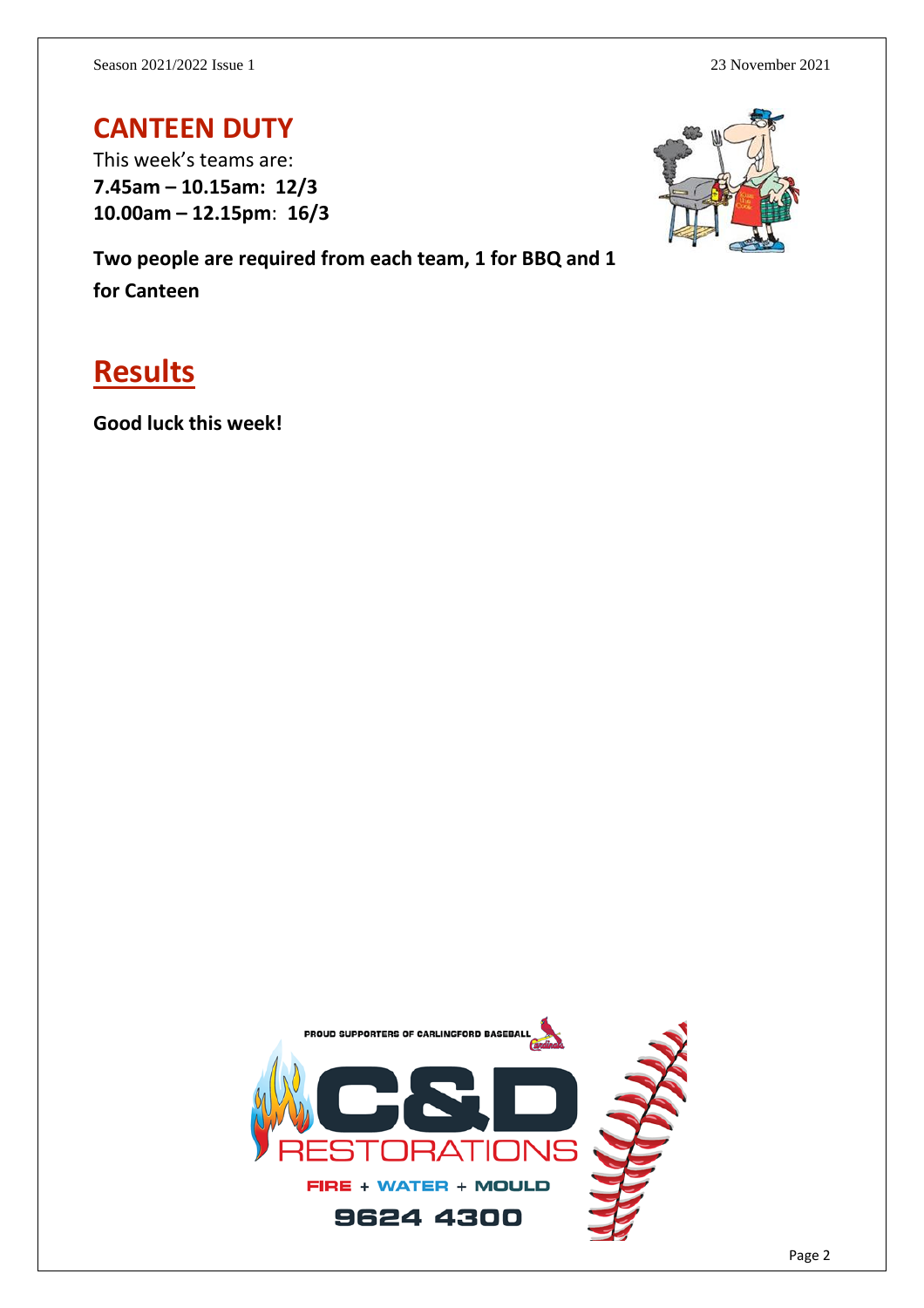#### **CANTEEN DUTY**

This week's teams are: **7.45am – 10.15am: 12/3 10.00am – 12.15pm**: **16/3**

**Two people are required from each team, 1 for BBQ and 1 for Canteen**

## **Results**

**Good luck this week!**

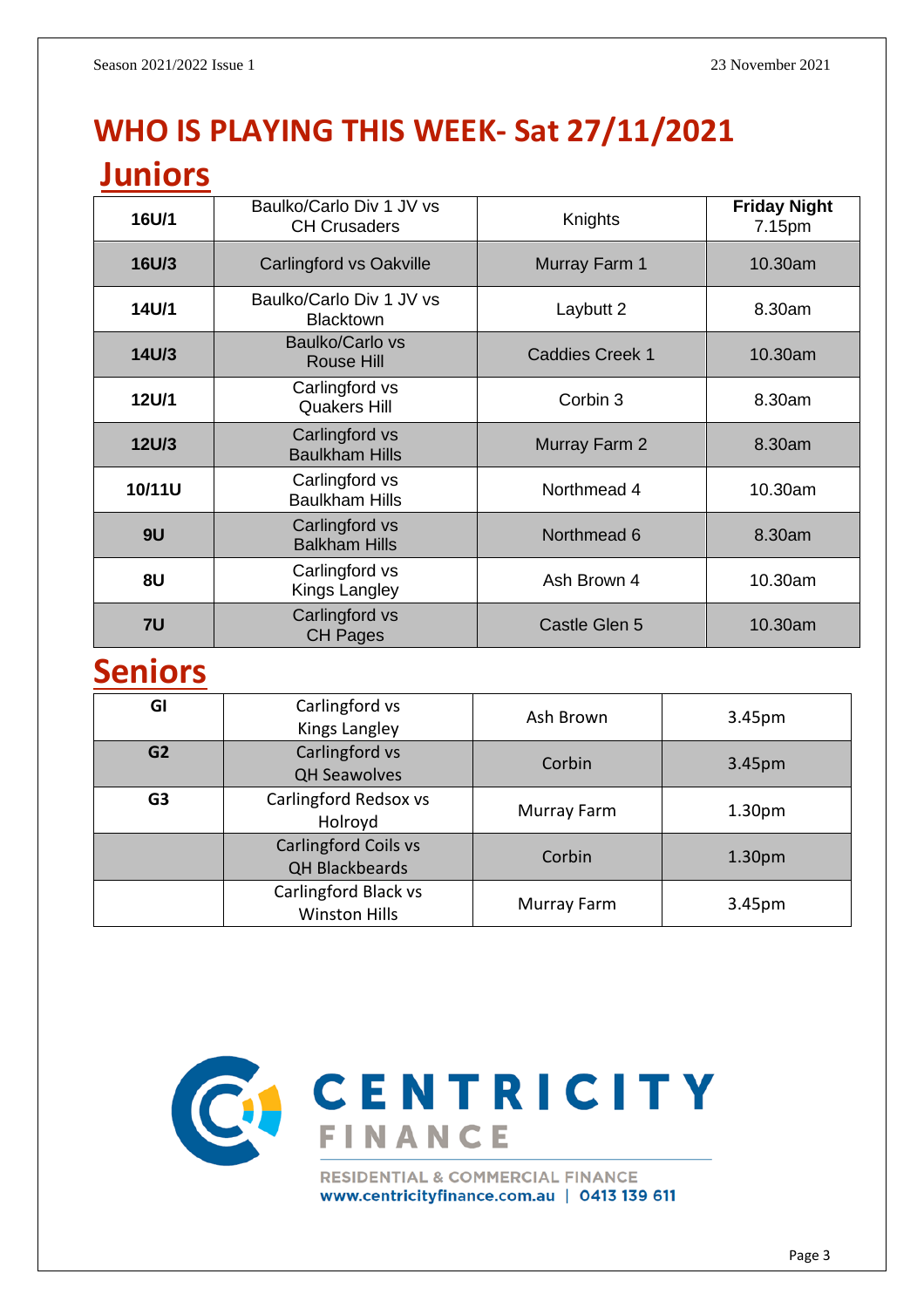# **WHO IS PLAYING THIS WEEK- Sat 27/11/2021**

## **Juniors**

| 16U/1        | Baulko/Carlo Div 1 JV vs<br><b>CH Crusaders</b> | Knights                | <b>Friday Night</b><br>7.15pm |
|--------------|-------------------------------------------------|------------------------|-------------------------------|
| 16U/3        | Carlingford vs Oakville                         | Murray Farm 1          | 10.30am                       |
| 14U/1        | Baulko/Carlo Div 1 JV vs<br><b>Blacktown</b>    | Laybutt 2              | 8.30am                        |
| 14U/3        | Baulko/Carlo vs<br><b>Rouse Hill</b>            | <b>Caddies Creek 1</b> | 10.30am                       |
| <b>12U/1</b> | Carlingford vs<br><b>Quakers Hill</b>           | Corbin 3               | 8.30am                        |
| <b>12U/3</b> | Carlingford vs<br><b>Baulkham Hills</b>         | Murray Farm 2          | 8.30am                        |
| 10/11U       | Carlingford vs<br><b>Baulkham Hills</b>         | Northmead 4            | 10.30am                       |
| 9U           | Carlingford vs<br><b>Balkham Hills</b>          | Northmead 6            | 8.30am                        |
| 8U           | Carlingford vs<br>Kings Langley                 | Ash Brown 4            | 10.30am                       |
| 7U           | Carlingford vs<br><b>CH Pages</b>               | Castle Glen 5          | 10.30am                       |

# **Seniors**

| GI             | Carlingford vs<br>Kings Langley                      | Ash Brown   | 3.45pm             |
|----------------|------------------------------------------------------|-------------|--------------------|
| G <sub>2</sub> | Carlingford vs<br><b>QH Seawolves</b>                | Corbin      | 3.45pm             |
| G <sub>3</sub> | Carlingford Redsox vs<br>Holroyd                     | Murray Farm | 1.30 <sub>pm</sub> |
|                | <b>Carlingford Coils vs</b><br><b>QH Blackbeards</b> | Corbin      | 1.30 <sub>pm</sub> |
|                | Carlingford Black vs<br><b>Winston Hills</b>         | Murray Farm | 3.45pm             |



www.centricityfinance.com.au | 0413 139 611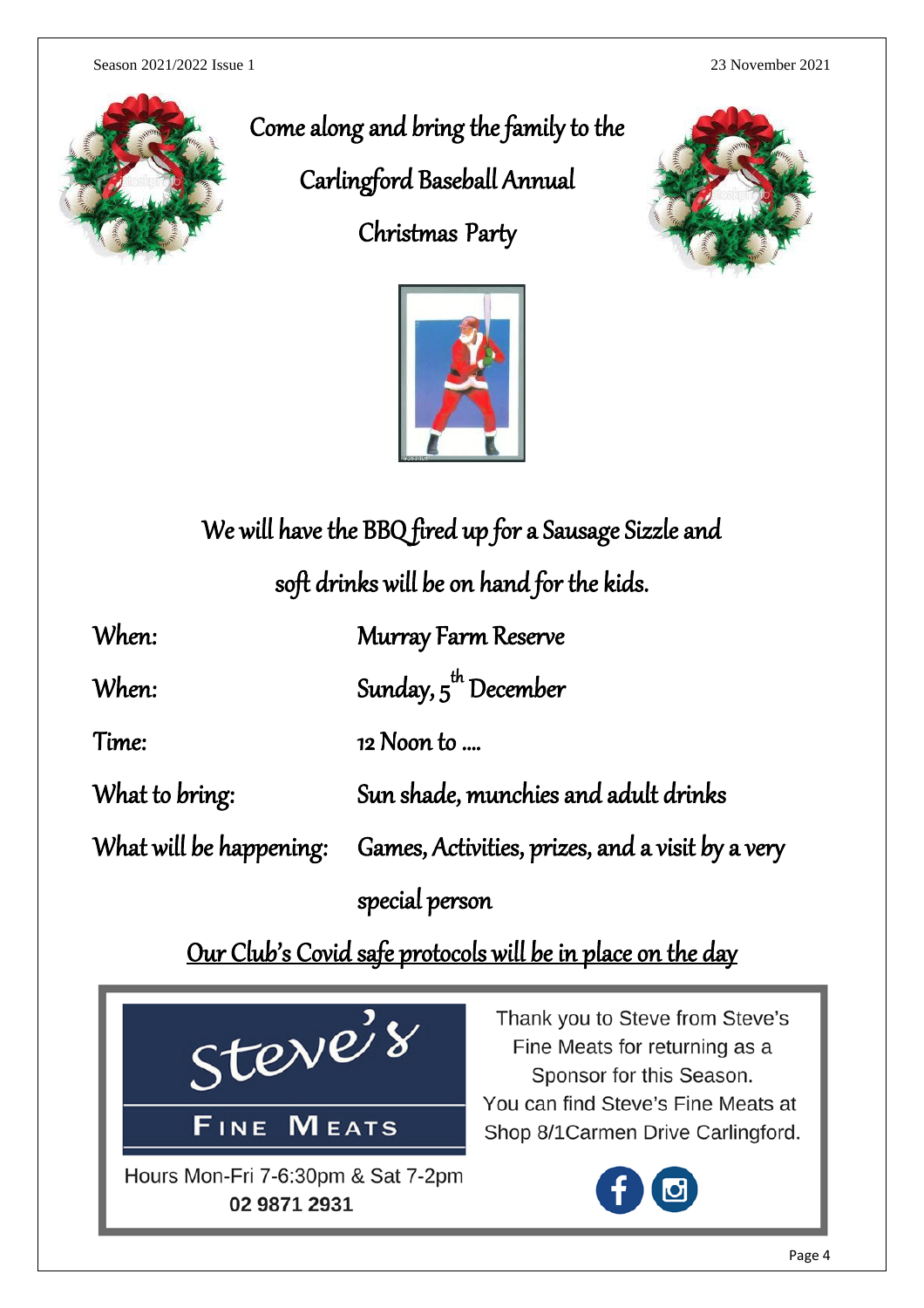Season 2021/2022 Issue 1 23 November 2021



Come along and bring the family to the

Carlingford Baseball Annual

Christmas Party





# We will have the BBQ fired up for a Sausage Sizzle and

soft drinks will be on hand for the kids.

| When:                   | <b>Murray Farm Reserve</b>                       |
|-------------------------|--------------------------------------------------|
| When:                   | Sunday, $5^{\text{th}}$ December                 |
| Time:                   | 12 Noon to                                       |
| What to bring:          | Sun shade, munchies and adult drinks             |
| What will be happening: | Games, Activities, prizes, and a visit by a very |
|                         | special person                                   |

Our Club's Covid safe protocols will be in place on the day

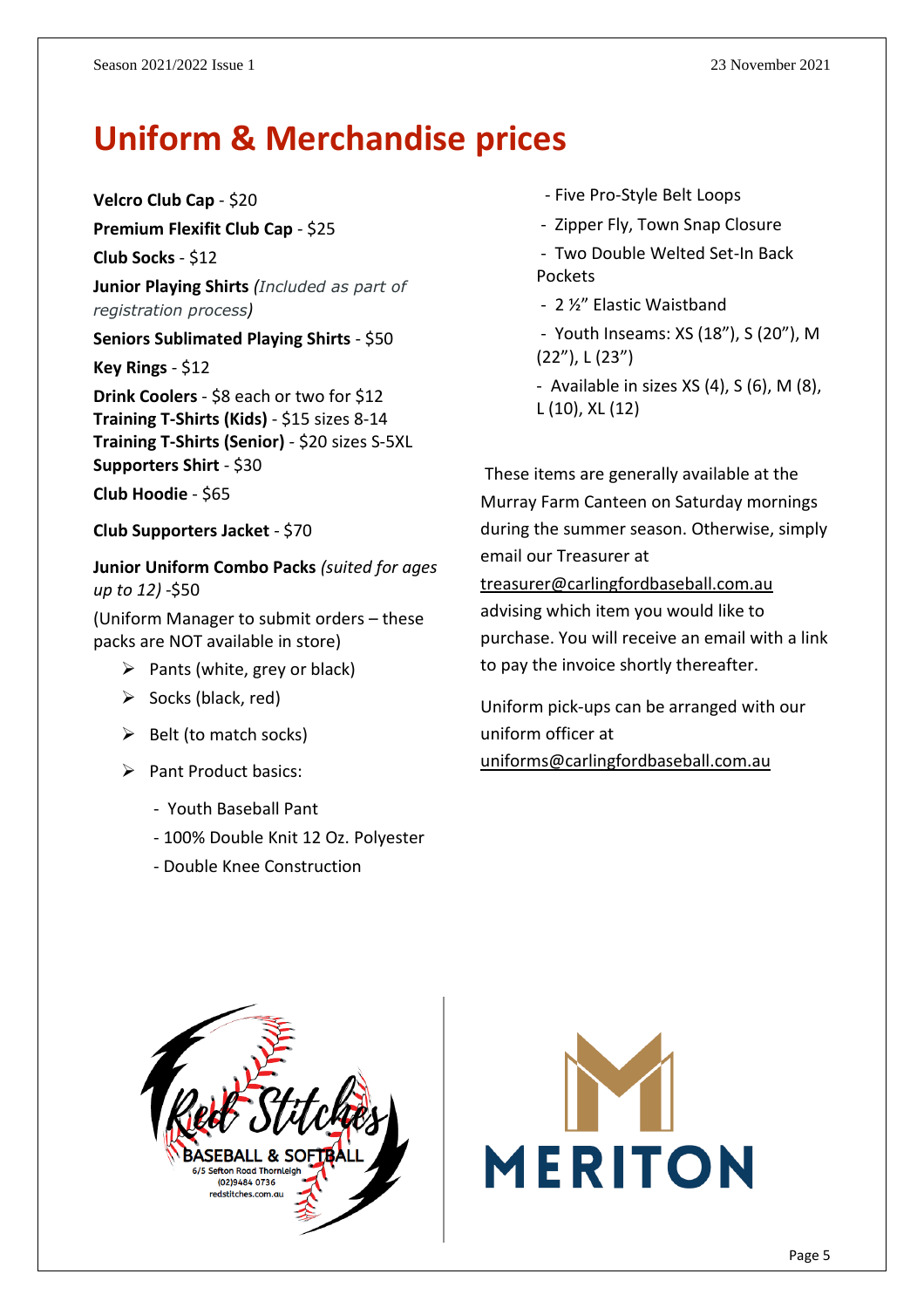# **Uniform & Merchandise prices**

**Velcro Club Cap** - \$20

**Premium Flexifit Club Cap** - \$25

**Club Socks** - \$12

**Junior Playing Shirts** *(Included as part of registration process)*

**Seniors Sublimated Playing Shirts** - \$50

**Key Rings** - \$12

**Drink Coolers** - \$8 each or two for \$12 **Training T-Shirts (Kids)** - \$15 sizes 8-14 **Training T-Shirts (Senior)** - \$20 sizes S-5XL **Supporters Shirt** - \$30

**Club Hoodie** - \$65

**Club Supporters Jacket** - \$70

**Junior Uniform Combo Packs** *(suited for ages up to 12)* -\$50

(Uniform Manager to submit orders – these packs are NOT available in store)

- $\triangleright$  Pants (white, grey or black)
- $\triangleright$  Socks (black, red)
- $\triangleright$  Belt (to match socks)
- ➢ Pant Product basics:
	- Youth Baseball Pant
	- 100% Double Knit 12 Oz. Polyester
	- Double Knee Construction
- Five Pro-Style Belt Loops
- Zipper Fly, Town Snap Closure

- Two Double Welted Set-In Back Pockets

- 2 ½" Elastic Waistband

- Youth Inseams: XS (18"), S (20"), M (22"), L (23")

- Available in sizes  $XS(4)$ ,  $S(6)$ ,  $M(8)$ , L (10), XL (12)

These items are generally available at the Murray Farm Canteen on Saturday mornings during the summer season. Otherwise, simply email our Treasurer at [treasurer@carlingfordbaseball.com.au](mailto:treasurer@carlingfordbaseball.com.au) advising which item you would like to purchase. You will receive an email with a link to pay the invoice shortly thereafter.

Uniform pick-ups can be arranged with our uniform officer at [uniforms@carlingfordbaseball.com.au](mailto:uniforms@carlingfordbaseball.com.au)